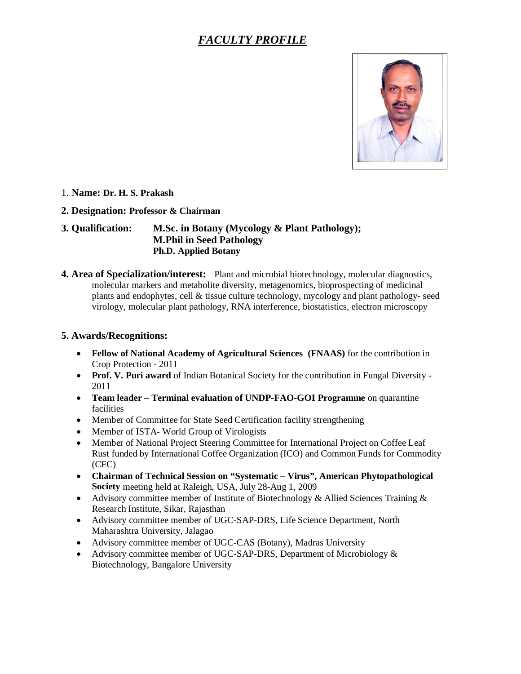# *FACULTY PROFILE*



#### 1. **Name: Dr. H. S. Prakash**

#### **2. Designation: Professor & Chairman**

## **3. Qualification: M.Sc. in Botany (Mycology & Plant Pathology); M.Phil in Seed Pathology Ph.D. Applied Botany**

**4. Area of Specialization/interest:** Plant and microbial biotechnology, molecular diagnostics, molecular markers and metabolite diversity, metagenomics, bioprospecting of medicinal plants and endophytes, cell & tissue culture technology, mycology and plant pathology- seed virology, molecular plant pathology, RNA interference, biostatistics, electron microscopy

#### **5. Awards/Recognitions:**

- **Fellow of National Academy of Agricultural Sciences (FNAAS)** for the contribution in Crop Protection - 2011
- **Prof. V. Puri award** of Indian Botanical Society for the contribution in Fungal Diversity 2011
- **Team leader Terminal evaluation of UNDP-FAO-GOI Programme** on quarantine facilities
- Member of Committee for State Seed Certification facility strengthening
- Member of ISTA-World Group of Virologists
- Member of National Project Steering Committee for International Project on Coffee Leaf Rust funded by International Coffee Organization (ICO) and Common Funds for Commodity (CFC)
- **Chairman of Technical Session on "Systematic Virus", American Phytopathological Society** meeting held at Raleigh, USA, July 28-Aug 1, 2009
- Advisory committee member of Institute of Biotechnology & Allied Sciences Training & Research Institute, Sikar, Rajasthan
- Advisory committee member of UGC-SAP-DRS, Life Science Department, North Maharashtra University, Jalagao
- Advisory committee member of UGC-CAS (Botany), Madras University
- Advisory committee member of UGC-SAP-DRS, Department of Microbiology & Biotechnology, Bangalore University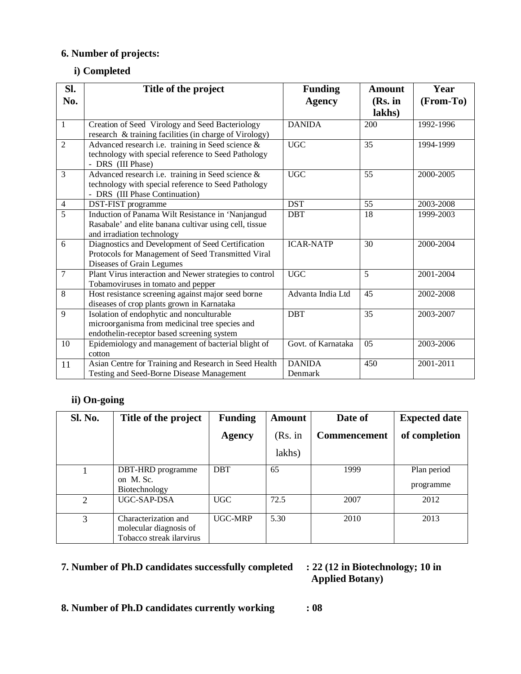# **6. Number of projects:**

## **i) Completed**

| Sl.            | Title of the project                                                                                                                       | <b>Funding</b>           | <b>Amount</b> | Year      |
|----------------|--------------------------------------------------------------------------------------------------------------------------------------------|--------------------------|---------------|-----------|
| No.            |                                                                                                                                            | <b>Agency</b>            | (Rs. in       | (From-To) |
|                |                                                                                                                                            |                          | lakhs)        |           |
| $\mathbf{1}$   | Creation of Seed Virology and Seed Bacteriology<br>research & training facilities (in charge of Virology)                                  | <b>DANIDA</b>            | 200           | 1992-1996 |
| $\overline{2}$ | Advanced research i.e. training in Seed science &<br>technology with special reference to Seed Pathology<br>- DRS (III Phase)              | <b>UGC</b>               | 35            | 1994-1999 |
| 3              | Advanced research i.e. training in Seed science &<br>technology with special reference to Seed Pathology<br>- DRS (III Phase Continuation) | <b>UGC</b>               | 55            | 2000-2005 |
| $\overline{4}$ | DST-FIST programme                                                                                                                         | <b>DST</b>               | 55            | 2003-2008 |
| $\overline{5}$ | Induction of Panama Wilt Resistance in 'Nanjangud<br>Rasabale' and elite banana cultivar using cell, tissue<br>and irradiation technology  | <b>DBT</b>               | 18            | 1999-2003 |
| 6              | Diagnostics and Development of Seed Certification<br>Protocols for Management of Seed Transmitted Viral<br>Diseases of Grain Legumes       | <b>ICAR-NATP</b>         | 30            | 2000-2004 |
| 7              | Plant Virus interaction and Newer strategies to control<br>Tobamoviruses in tomato and pepper                                              | <b>UGC</b>               | 5             | 2001-2004 |
| 8              | Host resistance screening against major seed borne<br>diseases of crop plants grown in Karnataka                                           | Advanta India Ltd        | 45            | 2002-2008 |
| 9              | Isolation of endophytic and nonculturable<br>microorganisma from medicinal tree species and<br>endothelin-receptor based screening system  | <b>DBT</b>               | 35            | 2003-2007 |
| 10             | Epidemiology and management of bacterial blight of<br>cotton                                                                               | Govt. of Karnataka       | 05            | 2003-2006 |
| 11             | Asian Centre for Training and Research in Seed Health<br>Testing and Seed-Borne Disease Management                                         | <b>DANIDA</b><br>Denmark | 450           | 2001-2011 |

# **ii) On-going**

| <b>Sl. No.</b> | Title of the project                                                       | <b>Funding</b> | <b>Amount</b> | Date of             | <b>Expected date</b>     |
|----------------|----------------------------------------------------------------------------|----------------|---------------|---------------------|--------------------------|
|                |                                                                            | Agency         | (Rs. in       | <b>Commencement</b> | of completion            |
|                |                                                                            |                | lakhs)        |                     |                          |
|                | DBT-HRD programme<br>on M. Sc.<br>Biotechnology                            | <b>DBT</b>     | 65            | 1999                | Plan period<br>programme |
| 2              | UGC-SAP-DSA                                                                | <b>UGC</b>     | 72.5          | 2007                | 2012                     |
| 3              | Characterization and<br>molecular diagnosis of<br>Tobacco streak ilarvirus | <b>UGC-MRP</b> | 5.30          | 2010                | 2013                     |

# **7. Number of Ph.D candidates successfully completed : 22 (12 in Biotechnology; 10 in**

# **: 22 (12 in Biotechnology; 10 in Applied Botany)**

## **8. Number of Ph.D candidates currently working : 08**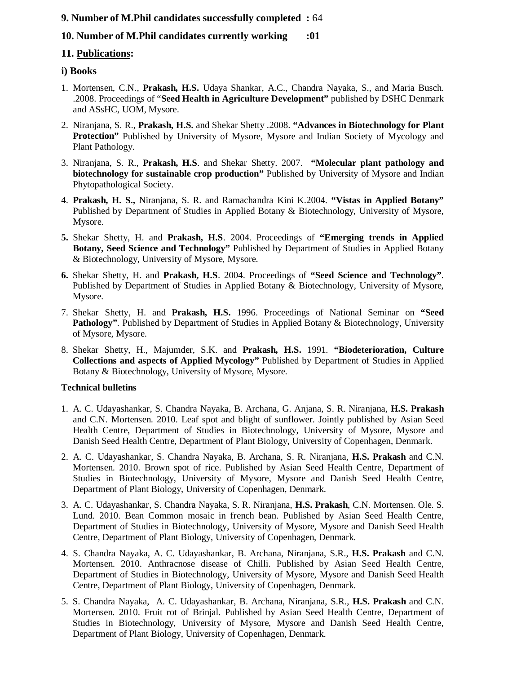## **9. Number of M.Phil candidates successfully completed :** 64

## **10. Number of M.Phil candidates currently working :01**

## **11. Publications:**

#### **i) Books**

- 1. Mortensen, C.N., **Prakash, H.S.** Udaya Shankar, A.C., Chandra Nayaka, S., and Maria Busch. .2008. Proceedings of "**Seed Health in Agriculture Development"** published by DSHC Denmark and ASsHC, UOM, Mysore.
- 2. Niranjana, S. R., **Prakash, H.S.** and Shekar Shetty .2008. **"Advances in Biotechnology for Plant Protection"** Published by University of Mysore, Mysore and Indian Society of Mycology and Plant Pathology.
- 3. Niranjana, S. R., **Prakash, H.S**. and Shekar Shetty. 2007. **"Molecular plant pathology and biotechnology for sustainable crop production"** Published by University of Mysore and Indian Phytopathological Society.
- 4. **Prakash, H. S.,** Niranjana, S. R. and Ramachandra Kini K.2004. **"Vistas in Applied Botany"** Published by Department of Studies in Applied Botany & Biotechnology, University of Mysore, Mysore.
- **5.** Shekar Shetty, H. and **Prakash, H.S**. 2004. Proceedings of **"Emerging trends in Applied Botany, Seed Science and Technology"** Published by Department of Studies in Applied Botany & Biotechnology, University of Mysore, Mysore.
- **6.** Shekar Shetty, H. and **Prakash, H.S**. 2004. Proceedings of **"Seed Science and Technology"**. Published by Department of Studies in Applied Botany & Biotechnology, University of Mysore, Mysore.
- 7. Shekar Shetty, H. and **Prakash, H.S.** 1996. Proceedings of National Seminar on **"Seed**  Pathology". Published by Department of Studies in Applied Botany & Biotechnology, University of Mysore, Mysore.
- 8. Shekar Shetty, H., Majumder, S.K. and **Prakash, H.S.** 1991. **"Biodeterioration, Culture Collections and aspects of Applied Mycology"** Published by Department of Studies in Applied Botany & Biotechnology, University of Mysore, Mysore.

#### **Technical bulletins**

- 1. A. C. Udayashankar, S. Chandra Nayaka, B. Archana, G. Anjana, S. R. Niranjana, **H.S. Prakash** and C.N. Mortensen. 2010. Leaf spot and blight of sunflower. Jointly published by Asian Seed Health Centre, Department of Studies in Biotechnology, University of Mysore, Mysore and Danish Seed Health Centre, Department of Plant Biology, University of Copenhagen, Denmark.
- 2. A. C. Udayashankar, S. Chandra Nayaka, B. Archana, S. R. Niranjana, **H.S. Prakash** and C.N. Mortensen. 2010. Brown spot of rice. Published by Asian Seed Health Centre, Department of Studies in Biotechnology, University of Mysore, Mysore and Danish Seed Health Centre, Department of Plant Biology, University of Copenhagen, Denmark.
- 3. A. C. Udayashankar, S. Chandra Nayaka, S. R. Niranjana, **H.S. Prakash**, C.N. Mortensen. Ole. S. Lund. 2010. Bean Common mosaic in french bean. Published by Asian Seed Health Centre, Department of Studies in Biotechnology, University of Mysore, Mysore and Danish Seed Health Centre, Department of Plant Biology, University of Copenhagen, Denmark.
- 4. S. Chandra Nayaka, A. C. Udayashankar, B. Archana, Niranjana, S.R., **H.S. Prakash** and C.N. Mortensen. 2010. Anthracnose disease of Chilli. Published by Asian Seed Health Centre, Department of Studies in Biotechnology, University of Mysore, Mysore and Danish Seed Health Centre, Department of Plant Biology, University of Copenhagen, Denmark.
- 5. S. Chandra Nayaka, A. C. Udayashankar, B. Archana, Niranjana, S.R., **H.S. Prakash** and C.N. Mortensen. 2010. Fruit rot of Brinjal. Published by Asian Seed Health Centre, Department of Studies in Biotechnology, University of Mysore, Mysore and Danish Seed Health Centre, Department of Plant Biology, University of Copenhagen, Denmark.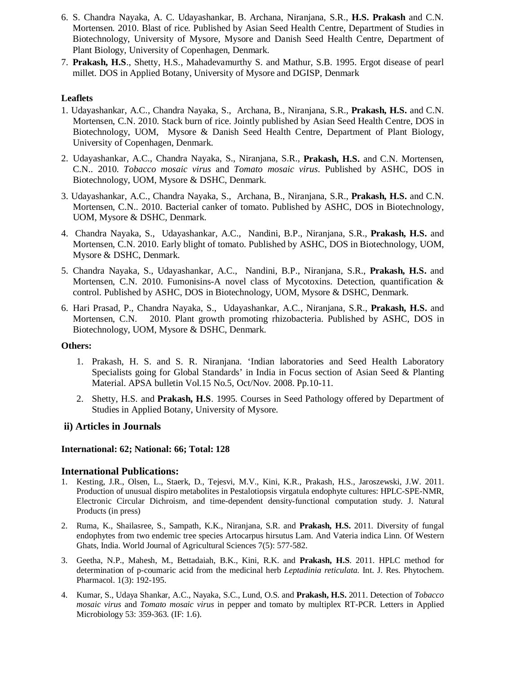- 6. S. Chandra Nayaka, A. C. Udayashankar, B. Archana, Niranjana, S.R., **H.S. Prakash** and C.N. Mortensen. 2010. Blast of rice. Published by Asian Seed Health Centre, Department of Studies in Biotechnology, University of Mysore, Mysore and Danish Seed Health Centre, Department of Plant Biology, University of Copenhagen, Denmark.
- 7. **Prakash, H.S**., Shetty, H.S., Mahadevamurthy S. and Mathur, S.B. 1995. Ergot disease of pearl millet. DOS in Applied Botany, University of Mysore and DGISP, Denmark

#### **Leaflets**

- 1. Udayashankar, A.C., Chandra Nayaka, S., Archana, B., Niranjana, S.R., **Prakash, H.S.** and C.N. Mortensen, C.N. 2010. Stack burn of rice. Jointly published by Asian Seed Health Centre, DOS in Biotechnology, UOM, Mysore & Danish Seed Health Centre, Department of Plant Biology, University of Copenhagen, Denmark.
- 2. Udayashankar, A.C., Chandra Nayaka, S., Niranjana, S.R., **Prakash, H.S.** and C.N. Mortensen, C.N.. 2010. *Tobacco mosaic virus* and *Tomato mosaic virus*. Published by ASHC, DOS in Biotechnology, UOM, Mysore & DSHC, Denmark.
- 3. Udayashankar, A.C., Chandra Nayaka, S., Archana, B., Niranjana, S.R., **Prakash, H.S.** and C.N. Mortensen, C.N.. 2010. Bacterial canker of tomato. Published by ASHC, DOS in Biotechnology, UOM, Mysore & DSHC, Denmark.
- 4. Chandra Nayaka, S., Udayashankar, A.C., Nandini, B.P., Niranjana, S.R., **Prakash, H.S.** and Mortensen, C.N. 2010. Early blight of tomato. Published by ASHC, DOS in Biotechnology, UOM, Mysore & DSHC, Denmark.
- 5. Chandra Nayaka, S., Udayashankar, A.C., Nandini, B.P., Niranjana, S.R., **Prakash, H.S.** and Mortensen, C.N. 2010. Fumonisins-A novel class of Mycotoxins. Detection, quantification  $\&$ control. Published by ASHC, DOS in Biotechnology, UOM, Mysore & DSHC, Denmark.
- 6. Hari Prasad, P., Chandra Nayaka, S., Udayashankar, A.C., Niranjana, S.R., **Prakash, H.S.** and Mortensen, C.N. 2010. Plant growth promoting rhizobacteria. Published by ASHC, DOS in Biotechnology, UOM, Mysore & DSHC, Denmark.

#### **Others:**

- 1. Prakash, H. S. and S. R. Niranjana. 'Indian laboratories and Seed Health Laboratory Specialists going for Global Standards' in India in Focus section of Asian Seed & Planting Material. APSA bulletin Vol.15 No.5, Oct/Nov. 2008. Pp.10-11.
- 2. Shetty, H.S. and **Prakash, H.S**. 1995. Courses in Seed Pathology offered by Department of Studies in Applied Botany, University of Mysore.

#### **ii) Articles in Journals**

#### **International: 62; National: 66; Total: 128**

#### **International Publications:**

- 1. Kesting, J.R., Olsen, L., Staerk, D., Tejesvi, M.V., Kini, K.R., Prakash, H.S., Jaroszewski, J.W. 2011. Production of unusual dispiro metabolites in Pestalotiopsis virgatula endophyte cultures: HPLC-SPE-NMR, Electronic Circular Dichroism, and time-dependent density-functional computation study. J. Natural Products (in press)
- 2. Ruma, K., Shailasree, S., Sampath, K.K., Niranjana, S.R. and **Prakash, H.S.** 2011. Diversity of fungal endophytes from two endemic tree species Artocarpus hirsutus Lam. And Vateria indica Linn. Of Western Ghats, India. World Journal of Agricultural Sciences 7(5): 577-582.
- 3. Geetha, N.P., Mahesh, M., Bettadaiah, B.K., Kini, R.K. and **Prakash, H.S**. 2011. HPLC method for determination of p-coumaric acid from the medicinal herb *Leptadinia reticulata*. Int. J. Res. Phytochem. Pharmacol. 1(3): 192-195.
- 4. Kumar, S., Udaya Shankar, A.C., Nayaka, S.C., Lund, O.S. and **Prakash, H.S.** 2011. Detection of *Tobacco mosaic virus* and *Tomato mosaic virus* in pepper and tomato by multiplex RT-PCR. Letters in Applied Microbiology 53: 359-363. (IF: 1.6).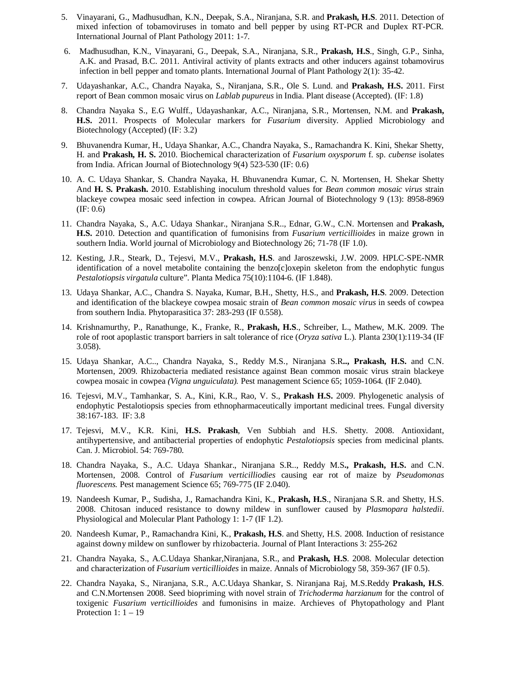- 5. Vinayarani, G., Madhusudhan, K.N., Deepak, S.A., Niranjana, S.R. and **Prakash, H.S**. 2011. Detection of mixed infection of tobamoviruses in tomato and bell pepper by using RT-PCR and Duplex RT-PCR. International Journal of Plant Pathology 2011: 1-7.
- 6. Madhusudhan, K.N., Vinayarani, G., Deepak, S.A., Niranjana, S.R., **Prakash, H.S**., Singh, G.P., Sinha, A.K. and Prasad, B.C. 2011. Antiviral activity of plants extracts and other inducers against tobamovirus infection in bell pepper and tomato plants. International Journal of Plant Pathology 2(1): 35-42.
- 7. Udayashankar, A.C., Chandra Nayaka, S., Niranjana, S.R., Ole S. Lund. and **Prakash, H.S.** 2011. First report of Bean common mosaic virus on *Lablab pupureus* in India. Plant disease (Accepted). (IF: 1.8)
- 8. Chandra Nayaka S., E.G Wulff., Udayashankar, A.C., Niranjana, S.R., Mortensen, N.M. and **Prakash, H.S.** 2011. Prospects of Molecular markers for *Fusarium* diversity. Applied Microbiology and Biotechnology (Accepted) (IF: 3.2)
- 9. Bhuvanendra Kumar, H., Udaya Shankar, A.C., Chandra Nayaka, S., Ramachandra K. Kini, Shekar Shetty, H. and **Prakash, H. S.** 2010. Biochemical characterization of *Fusarium oxysporum* f. sp. *cubense* isolates from India. African Journal of Biotechnology 9(4) 523-530 (IF: 0.6)
- 10. A. C. Udaya Shankar, S. Chandra Nayaka, H. Bhuvanendra Kumar, C. N. Mortensen, H. Shekar Shetty And **H. S. Prakash.** 2010. Establishing inoculum threshold values for *Bean common mosaic virus* strain blackeye cowpea mosaic seed infection in cowpea. African Journal of Biotechnology 9 (13): 8958-8969 (IF: 0.6)
- 11. Chandra Nayaka, S., A.C. Udaya Shankar., Niranjana S.R.., Ednar, G.W., C.N. Mortensen and **Prakash, H.S.** 2010. Detection and quantification of fumonisins from *Fusarium verticillioides* in maize grown in southern India. World journal of Microbiology and Biotechnology 26; 71-78 (IF 1.0).
- 12. Kesting, J.R., Steark, D., Tejesvi, M.V., **Prakash, H.S**. and Jaroszewski, J.W. 2009. HPLC-SPE-NMR identification of a novel metabolite containing the benzo[c]oxepin skeleton from the endophytic fungus *Pestalotiopsis virgatula* culture". Planta Medica 75(10):1104-6. (IF 1.848).
- 13. Udaya Shankar, A.C., Chandra S. Nayaka, Kumar, B.H., Shetty, H.S., and **Prakash, H.S**. 2009. Detection and identification of the blackeye cowpea mosaic strain of *Bean common mosaic virus* in seeds of cowpea from southern India. Phytoparasitica 37: 283-293 (IF 0.558).
- 14. Krishnamurthy, P., Ranathunge, K., Franke, R., **Prakash, H.S**., Schreiber, L., Mathew, M.K. 2009. The role of root apoplastic transport barriers in salt tolerance of rice (*Oryza sativa* L.). Planta 230(1):119-34 (IF 3.058).
- 15. Udaya Shankar, A.C.., Chandra Nayaka, S., Reddy M.S., Niranjana S.R**.., Prakash, H.S.** and C.N. Mortensen, 2009. Rhizobacteria mediated resistance against Bean common mosaic virus strain blackeye cowpea mosaic in cowpea *(Vigna unguiculata).* Pest management Science 65; 1059-1064. (IF 2.040).
- 16. Tejesvi, M.V., Tamhankar, S. A., Kini, K.R., Rao, V. S., **Prakash H.S.** 2009. Phylogenetic analysis of endophytic Pestalotiopsis species from ethnopharmaceutically important medicinal trees. Fungal diversity 38:167-183. IF: 3.8
- 17. Tejesvi, M.V., K.R. Kini, **H.S. Prakash**, Ven Subbiah and H.S. Shetty. 2008. Antioxidant, antihypertensive, and antibacterial properties of endophytic *Pestalotiopsis* species from medicinal plants. Can. J. Microbiol. 54: 769-780.
- 18. Chandra Nayaka, S., A.C. Udaya Shankar., Niranjana S.R.., Reddy M.S**., Prakash, H.S.** and C.N. Mortensen, 2008. Control of *Fusarium verticilliodies* causing ear rot of maize by *Pseudomonas fluorescens.* Pest management Science 65; 769-775 (IF 2.040).
- 19. Nandeesh Kumar, P., Sudisha, J., Ramachandra Kini, K., **Prakash, H.S**., Niranjana S.R. and Shetty, H.S. 2008. Chitosan induced resistance to downy mildew in sunflower caused by *Plasmopara halstedii*. Physiological and Molecular Plant Pathology 1: 1-7 (IF 1.2).
- 20. Nandeesh Kumar, P., Ramachandra Kini, K., **Prakash, H.S**. and Shetty, H.S. 2008. Induction of resistance against downy mildew on sunflower by rhizobacteria. Journal of Plant Interactions 3: 255-262
- 21. Chandra Nayaka, S., A.C.Udaya Shankar,Niranjana, S.R., and **Prakash, H.S**. 2008. Molecular detection and characterization of *Fusarium verticillioides* in maize. Annals of Microbiology 58, 359-367 (IF 0.5).
- 22. Chandra Nayaka, S., Niranjana, S.R., A.C.Udaya Shankar, S. Niranjana Raj, M.S.Reddy **Prakash, H.S**. and C.N.Mortensen 2008. Seed biopriming with novel strain of *Trichoderma harzianum* for the control of toxigenic *Fusarium verticillioides* and fumonisins in maize. Archieves of Phytopathology and Plant Protection  $1: 1 - 19$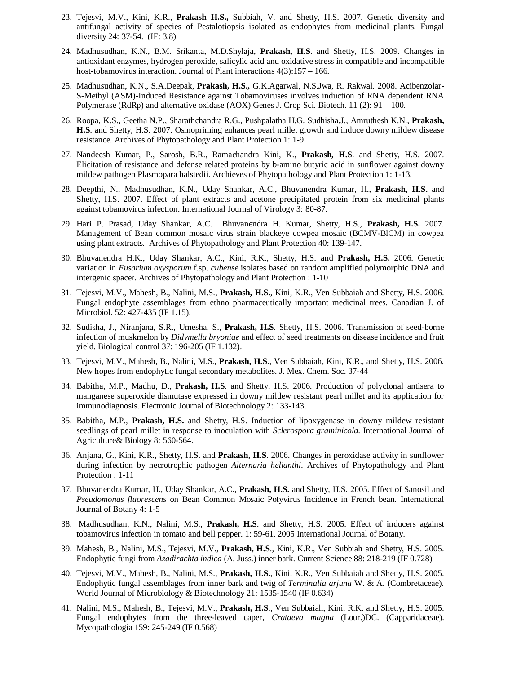- 23. Tejesvi, M.V., Kini, K.R., **Prakash H.S.,** Subbiah, V. and Shetty, H.S. 2007. Genetic diversity and antifungal activity of species of Pestalotiopsis isolated as endophytes from medicinal plants. Fungal diversity 24: 37-54. (IF: 3.8)
- 24. Madhusudhan, K.N., B.M. Srikanta, M.D.Shylaja, **Prakash, H.S**. and Shetty, H.S. 2009. Changes in antioxidant enzymes, hydrogen peroxide, salicylic acid and oxidative stress in compatible and incompatible host-tobamovirus interaction. Journal of Plant interactions 4(3):157 – 166.
- 25. Madhusudhan, K.N., S.A.Deepak, **Prakash, H.S.,** G.K.Agarwal, N.S.Jwa, R. Rakwal. 2008. Acibenzolar-S-Methyl (ASM)-Induced Resistance against Tobamoviruses involves induction of RNA dependent RNA Polymerase (RdRp) and alternative oxidase (AOX) Genes J. Crop Sci. Biotech. 11 (2): 91 – 100.
- 26. Roopa, K.S., Geetha N.P., Sharathchandra R.G., Pushpalatha H.G. Sudhisha,J., Amruthesh K.N., **Prakash, H.S**. and Shetty, H.S. 2007. Osmopriming enhances pearl millet growth and induce downy mildew disease resistance. Archives of Phytopathology and Plant Protection 1: 1-9.
- 27. Nandeesh Kumar, P., Sarosh, B.R., Ramachandra Kini, K., **Prakash, H.S**. and Shetty, H.S. 2007. Elicitation of resistance and defense related proteins by b-amino butyric acid in sunflower against downy mildew pathogen Plasmopara halstedii. Archieves of Phytopathology and Plant Protection 1: 1-13.
- 28. Deepthi, N., Madhusudhan, K.N., Uday Shankar, A.C., Bhuvanendra Kumar, H., **Prakash, H.S.** and Shetty, H.S. 2007. Effect of plant extracts and acetone precipitated protein from six medicinal plants against tobamovirus infection. International Journal of Virology 3: 80-87.
- 29. Hari P. Prasad, Uday Shankar, A.C. Bhuvanendra H. Kumar, Shetty, H.S., **Prakash, H.S.** 2007. Management of Bean common mosaic virus strain blackeye cowpea mosaic (BCMV-BlCM) in cowpea using plant extracts. Archives of Phytopathology and Plant Protection 40: 139-147.
- 30. Bhuvanendra H.K., Uday Shankar, A.C., Kini, R.K., Shetty, H.S. and **Prakash, H.S.** 2006. Genetic variation in *Fusarium oxysporum* f.sp. *cubense* isolates based on random amplified polymorphic DNA and intergenic spacer. Archives of Phytopathology and Plant Protection : 1-10
- 31. Tejesvi, M.V., Mahesh, B., Nalini, M.S., **Prakash, H.S.**, Kini, K.R., Ven Subbaiah and Shetty, H.S. 2006. Fungal endophyte assemblages from ethno pharmaceutically important medicinal trees. Canadian J. of Microbiol. 52: 427-435 (IF 1.15).
- 32. Sudisha, J., Niranjana, S.R., Umesha, S., **Prakash, H.S**. Shetty, H.S. 2006. Transmission of seed-borne infection of muskmelon by *Didymella bryoniae* and effect of seed treatments on disease incidence and fruit yield. Biological control 37: 196-205 (IF 1.132).
- 33. Tejesvi, M.V., Mahesh, B., Nalini, M.S., **Prakash, H.S**., Ven Subbaiah, Kini, K.R., and Shetty, H.S. 2006. New hopes from endophytic fungal secondary metabolites. J. Mex. Chem. Soc. 37-44
- 34. Babitha, M.P., Madhu, D., **Prakash, H.S**. and Shetty, H.S. 2006. Production of polyclonal antisera to manganese superoxide dismutase expressed in downy mildew resistant pearl millet and its application for immunodiagnosis. Electronic Journal of Biotechnology 2: 133-143.
- 35. Babitha, M.P., **Prakash, H.S.** and Shetty, H.S. Induction of lipoxygenase in downy mildew resistant seedlings of pearl millet in response to inoculation with *Sclerospora graminicola.* International Journal of Agriculture& Biology 8: 560-564.
- 36. Anjana, G., Kini, K.R., Shetty, H.S. and **Prakash, H.S**. 2006. Changes in peroxidase activity in sunflower during infection by necrotrophic pathogen *Alternaria helianthi*. Archives of Phytopathology and Plant Protection : 1-11
- 37. Bhuvanendra Kumar, H., Uday Shankar, A.C., **Prakash, H.S.** and Shetty, H.S. 2005. Effect of Sanosil and *Pseudomonas fluorescens* on Bean Common Mosaic Potyvirus Incidence in French bean. International Journal of Botany 4: 1-5
- 38. Madhusudhan, K.N., Nalini, M.S., **Prakash, H.S**. and Shetty, H.S. 2005. Effect of inducers against tobamovirus infection in tomato and bell pepper. 1: 59-61, 2005 International Journal of Botany.
- 39. Mahesh, B., Nalini, M.S., Tejesvi, M.V., **Prakash, H.S**., Kini, K.R., Ven Subbiah and Shetty, H.S. 2005. Endophytic fungi from *Azadirachta indica* (A. Juss.) inner bark. Current Science 88: 218-219 (IF 0.728)
- 40. Tejesvi, M.V., Mahesh, B., Nalini, M.S., **Prakash, H.S.**, Kini, K.R., Ven Subbaiah and Shetty, H.S. 2005. Endophytic fungal assemblages from inner bark and twig of *Terminalia arjuna* W. & A. (Combretaceae). World Journal of Microbiology & Biotechnology 21: 1535-1540 (IF 0.634)
- 41. Nalini, M.S., Mahesh, B., Tejesvi, M.V., **Prakash, H.S**., Ven Subbaiah, Kini, R.K. and Shetty, H.S. 2005. Fungal endophytes from the three-leaved caper, *Crataeva magna* (Lour.)DC. (Capparidaceae). Mycopathologia 159: 245-249 (IF 0.568)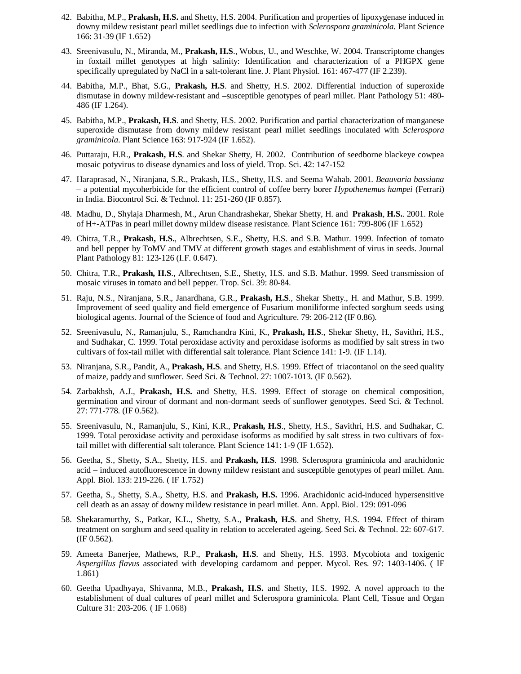- 42. Babitha, M.P., **Prakash, H.S.** and Shetty, H.S. 2004. Purification and properties of lipoxygenase induced in downy mildew resistant pearl millet seedlings due to infection with *Sclerospora graminicola*. Plant Science 166: 31-39 (IF 1.652)
- 43. Sreenivasulu, N., Miranda, M., **Prakash, H.S**., Wobus, U., and Weschke, W. 2004. Transcriptome changes in foxtail millet genotypes at high salinity: Identification and characterization of a PHGPX gene specifically upregulated by NaCl in a salt-tolerant line. J. Plant Physiol. 161: 467-477 (IF 2.239).
- 44. Babitha, M.P., Bhat, S.G., **Prakash, H.S**. and Shetty, H.S. 2002. Differential induction of superoxide dismutase in downy mildew-resistant and –susceptible genotypes of pearl millet. Plant Pathology 51: 480-486 (IF 1.264).
- 45. Babitha, M.P., **Prakash, H.S**. and Shetty, H.S. 2002. Purification and partial characterization of manganese superoxide dismutase from downy mildew resistant pearl millet seedlings inoculated with *Sclerospora graminicola*. Plant Science 163: 917-924 (IF 1.652).
- 46. Puttaraju, H.R., **Prakash, H.S**. and Shekar Shetty, H. 2002. Contribution of seedborne blackeye cowpea mosaic potyvirus to disease dynamics and loss of yield. Trop. Sci. 42: 147-152
- 47. Haraprasad, N., Niranjana, S.R., Prakash, H.S., Shetty, H.S. and Seema Wahab. 2001. *Beauvaria bassiana* – a potential mycoherbicide for the efficient control of coffee berry borer *Hypothenemus hampei* (Ferrari) in India. Biocontrol Sci. & Technol. 11: 251-260 (IF 0.857).
- 48. Madhu, D., Shylaja Dharmesh, M., Arun Chandrashekar, Shekar Shetty, H. and **Prakash**, **H.S.**. 2001. Role of H+-ATPas in pearl millet downy mildew disease resistance. Plant Science 161: 799-806 (IF 1.652)
- 49. Chitra, T.R., **Prakash, H.S.**, Albrechtsen, S.E., Shetty, H.S. and S.B. Mathur. 1999. Infection of tomato and bell pepper by ToMV and TMV at different growth stages and establishment of virus in seeds. Journal Plant Pathology 81: 123-126 (I.F. 0.647).
- 50. Chitra, T.R., **Prakash, H.S**., Albrechtsen, S.E., Shetty, H.S. and S.B. Mathur. 1999. Seed transmission of mosaic viruses in tomato and bell pepper. Trop. Sci. 39: 80-84.
- 51. Raju, N.S., Niranjana, S.R., Janardhana, G.R., **Prakash, H.S**., Shekar Shetty., H. and Mathur, S.B. 1999. Improvement of seed quality and field emergence of Fusarium moniliforme infected sorghum seeds using biological agents. Journal of the Science of food and Agriculture. 79: 206-212 (IF 0.86).
- 52. Sreenivasulu, N., Ramanjulu, S., Ramchandra Kini, K., **Prakash, H.S**., Shekar Shetty, H., Savithri, H.S., and Sudhakar, C. 1999. Total peroxidase activity and peroxidase isoforms as modified by salt stress in two cultivars of fox-tail millet with differential salt tolerance. Plant Science 141: 1-9. (IF 1.14).
- 53. Niranjana, S.R., Pandit, A., **Prakash, H.S**. and Shetty, H.S. 1999. Effect of triacontanol on the seed quality of maize, paddy and sunflower. Seed Sci. & Technol. 27: 1007-1013. (IF 0.562).
- 54. Zarbakhsh, A.J., **Prakash, H.S.** and Shetty, H.S. 1999. Effect of storage on chemical composition, germination and virour of dormant and non-dormant seeds of sunflower genotypes. Seed Sci. & Technol. 27: 771-778. (IF 0.562).
- 55. Sreenivasulu, N., Ramanjulu, S., Kini, K.R., **Prakash, H.S**., Shetty, H.S., Savithri, H.S. and Sudhakar, C. 1999. Total peroxidase activity and peroxidase isoforms as modified by salt stress in two cultivars of foxtail millet with differential salt tolerance. Plant Science 141: 1-9 (IF 1.652).
- 56. Geetha, S., Shetty, S.A., Shetty, H.S. and **Prakash, H.S**. 1998. Sclerospora graminicola and arachidonic acid – induced autofluorescence in downy mildew resistant and susceptible genotypes of pearl millet. Ann. Appl. Biol. 133: 219-226. ( IF 1.752)
- 57. Geetha, S., Shetty, S.A., Shetty, H.S. and **Prakash, H.S.** 1996. Arachidonic acid-induced hypersensitive cell death as an assay of downy mildew resistance in pearl millet. Ann. Appl. Biol. 129: 091-096
- 58. Shekaramurthy, S., Patkar, K.L., Shetty, S.A., **Prakash, H.S**. and Shetty, H.S. 1994. Effect of thiram treatment on sorghum and seed quality in relation to accelerated ageing. Seed Sci. & Technol. 22: 607-617. (IF 0.562).
- 59. Ameeta Banerjee, Mathews, R.P., **Prakash, H.S**. and Shetty, H.S. 1993. Mycobiota and toxigenic *Aspergillus flavus* associated with developing cardamom and pepper. Mycol. Res. 97: 1403-1406. ( IF 1.861)
- 60. Geetha Upadhyaya, Shivanna, M.B., **Prakash, H.S.** and Shetty, H.S. 1992. A novel approach to the establishment of dual cultures of pearl millet and Sclerospora graminicola. Plant Cell, Tissue and Organ Culture 31: 203-206. ( IF 1.068)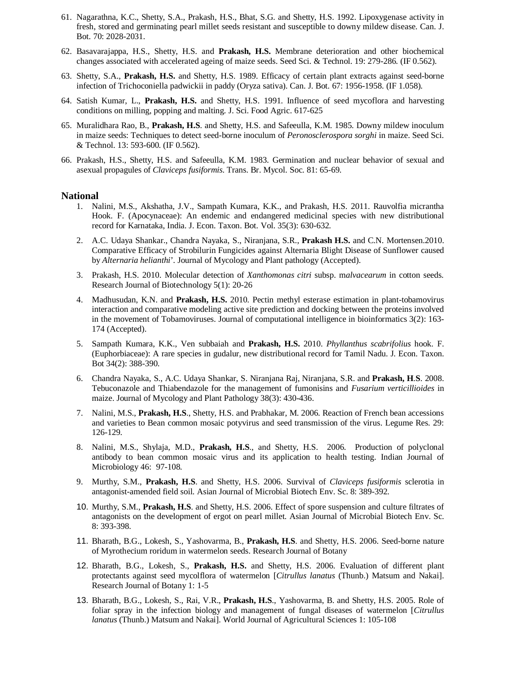- 61. Nagarathna, K.C., Shetty, S.A., Prakash, H.S., Bhat, S.G. and Shetty, H.S. 1992. Lipoxygenase activity in fresh, stored and germinating pearl millet seeds resistant and susceptible to downy mildew disease. Can. J. Bot. 70: 2028-2031.
- 62. Basavarajappa, H.S., Shetty, H.S. and **Prakash, H.S.** Membrane deterioration and other biochemical changes associated with accelerated ageing of maize seeds. Seed Sci. & Technol. 19: 279-286. (IF 0.562).
- 63. Shetty, S.A., **Prakash, H.S.** and Shetty, H.S. 1989. Efficacy of certain plant extracts against seed-borne infection of Trichoconiella padwickii in paddy (Oryza sativa). Can. J. Bot. 67: 1956-1958. (IF 1.058).
- 64. Satish Kumar, L., **Prakash, H.S.** and Shetty, H.S. 1991. Influence of seed mycoflora and harvesting conditions on milling, popping and malting. J. Sci. Food Agric. 617-625
- 65. Muralidhara Rao, B., **Prakash, H.S**. and Shetty, H.S. and Safeeulla, K.M. 1985. Downy mildew inoculum in maize seeds: Techniques to detect seed-borne inoculum of *Peronosclerospora sorghi* in maize. Seed Sci. & Technol. 13: 593-600. (IF 0.562).
- 66. Prakash, H.S., Shetty, H.S. and Safeeulla, K.M. 1983. Germination and nuclear behavior of sexual and asexual propagules of *Claviceps fusiformis*. Trans. Br. Mycol. Soc. 81: 65-69.

#### **National**

- 1. Nalini, M.S., Akshatha, J.V., Sampath Kumara, K.K., and Prakash, H.S. 2011. Rauvolfia micrantha Hook. F. (Apocynaceae): An endemic and endangered medicinal species with new distributional record for Karnataka, India. J. Econ. Taxon. Bot. Vol. 35(3): 630-632.
- 2. A.C. Udaya Shankar., Chandra Nayaka, S., Niranjana, S.R., **Prakash H.S.** and C.N. Mortensen.2010. Comparative Efficacy of Strobilurin Fungicides against Alternaria Blight Disease of Sunflower caused by *Alternaria helianthi*'. Journal of Mycology and Plant pathology (Accepted).
- 3. Prakash, H.S. 2010. Molecular detection of *Xanthomonas citri* subsp. m*alvacearum* in cotton seeds. Research Journal of Biotechnology 5(1): 20-26
- 4. Madhusudan, K.N. and **Prakash, H.S.** 2010. Pectin methyl esterase estimation in plant-tobamovirus interaction and comparative modeling active site prediction and docking between the proteins involved in the movement of Tobamoviruses. Journal of computational intelligence in bioinformatics 3(2): 163- 174 (Accepted).
- 5. Sampath Kumara, K.K., Ven subbaiah and **Prakash, H.S.** 2010. *Phyllanthus scabrifolius* hook. F. (Euphorbiaceae): A rare species in gudalur, new distributional record for Tamil Nadu. J. Econ. Taxon. Bot 34(2): 388-390.
- 6. Chandra Nayaka, S., A.C. Udaya Shankar, S. Niranjana Raj, Niranjana, S.R. and **Prakash, H**.**S**. 2008. Tebuconazole and Thiabendazole for the management of fumonisins and *Fusarium verticillioides* in maize. Journal of Mycology and Plant Pathology 38(3): 430-436.
- 7. Nalini, M.S., **Prakash, H.S**., Shetty, H.S. and Prabhakar, M. 2006. Reaction of French bean accessions and varieties to Bean common mosaic potyvirus and seed transmission of the virus. Legume Res. 29: 126-129.
- 8. Nalini, M.S., Shylaja, M.D., **Prakash, H.S**., and Shetty, H.S. 2006. Production of polyclonal antibody to bean common mosaic virus and its application to health testing. Indian Journal of Microbiology 46: 97-108.
- 9. Murthy, S.M., **Prakash, H.S**. and Shetty, H.S. 2006. Survival of *Claviceps fusiformis* sclerotia in antagonist-amended field soil. Asian Journal of Microbial Biotech Env. Sc. 8: 389-392.
- 10. Murthy, S.M., **Prakash, H.S**. and Shetty, H.S. 2006. Effect of spore suspension and culture filtrates of antagonists on the development of ergot on pearl millet. Asian Journal of Microbial Biotech Env. Sc. 8: 393-398.
- 11. Bharath, B.G., Lokesh, S., Yashovarma, B., **Prakash, H.S**. and Shetty, H.S. 2006. Seed-borne nature of Myrothecium roridum in watermelon seeds. Research Journal of Botany
- 12. Bharath, B.G., Lokesh, S., **Prakash, H.S.** and Shetty, H.S. 2006. Evaluation of different plant protectants against seed mycolflora of watermelon [*Citrullus lanatus* (Thunb.) Matsum and Nakai]. Research Journal of Botany 1: 1-5
- 13. Bharath, B.G., Lokesh, S., Rai, V.R., **Prakash, H.S**., Yashovarma, B. and Shetty, H.S. 2005. Role of foliar spray in the infection biology and management of fungal diseases of watermelon [*Citrullus lanatus* (Thunb.) Matsum and Nakai]. World Journal of Agricultural Sciences 1: 105-108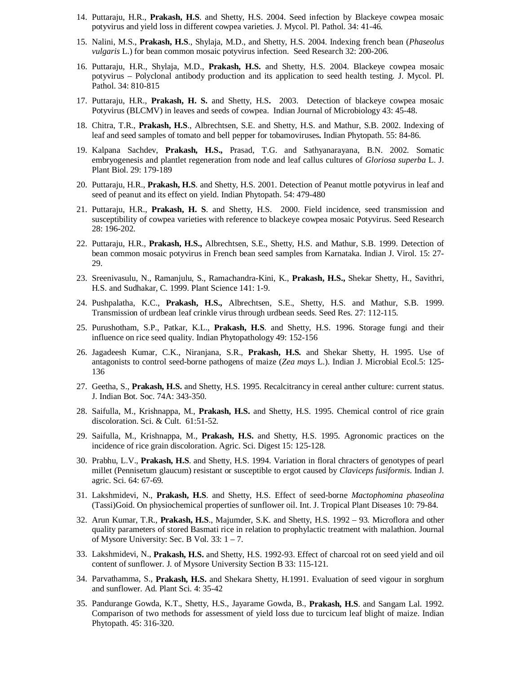- 14. Puttaraju, H.R., **Prakash, H.S**. and Shetty, H.S. 2004. Seed infection by Blackeye cowpea mosaic potyvirus and yield loss in different cowpea varieties. J. Mycol. Pl. Pathol. 34: 41-46.
- 15. Nalini, M.S., **Prakash, H.S**., Shylaja, M.D., and Shetty, H.S. 2004. Indexing french bean (*Phaseolus vulgaris* L.) for bean common mosaic potyvirus infection. Seed Research 32: 200-206.
- 16. Puttaraju, H.R., Shylaja, M.D., **Prakash, H.S.** and Shetty, H.S. 2004. Blackeye cowpea mosaic potyvirus – Polyclonal antibody production and its application to seed health testing. J. Mycol. Pl. Pathol. 34: 810-815
- 17. Puttaraju, H.R., **Prakash, H. S.** and Shetty, H.S**.** 2003. Detection of blackeye cowpea mosaic Potyvirus (BLCMV) in leaves and seeds of cowpea. Indian Journal of Microbiology 43: 45-48.
- 18. Chitra, T.R., **Prakash, H.S**., Albrechtsen, S.E. and Shetty, H.S. and Mathur, S.B. 2002. Indexing of leaf and seed samples of tomato and bell pepper for tobamoviruses**.** Indian Phytopath. 55: 84-86.
- 19. Kalpana Sachdev, **Prakash, H.S.,** Prasad, T.G. and Sathyanarayana, B.N. 2002. Somatic embryogenesis and plantlet regeneration from node and leaf callus cultures of *Gloriosa superba* L. J. Plant Biol. 29: 179-189
- 20. Puttaraju, H.R., **Prakash, H.S**. and Shetty, H.S. 2001. Detection of Peanut mottle potyvirus in leaf and seed of peanut and its effect on yield. Indian Phytopath. 54: 479-480
- 21. Puttaraju, H.R., **Prakash, H. S**. and Shetty, H.S. 2000. Field incidence, seed transmission and susceptibility of cowpea varieties with reference to blackeye cowpea mosaic Potyvirus. Seed Research 28: 196-202.
- 22. Puttaraju, H.R., **Prakash, H.S.,** Albrechtsen, S.E., Shetty, H.S. and Mathur, S.B. 1999. Detection of bean common mosaic potyvirus in French bean seed samples from Karnataka. Indian J. Virol. 15: 27- 29.
- 23. Sreenivasulu, N., Ramanjulu, S., Ramachandra-Kini, K., **Prakash, H.S.,** Shekar Shetty, H., Savithri, H.S. and Sudhakar, C. 1999. Plant Science 141: 1-9.
- 24. Pushpalatha, K.C., **Prakash, H.S.,** Albrechtsen, S.E., Shetty, H.S. and Mathur, S.B. 1999. Transmission of urdbean leaf crinkle virus through urdbean seeds. Seed Res. 27: 112-115.
- 25. Purushotham, S.P., Patkar, K.L., **Prakash, H.S**. and Shetty, H.S. 1996. Storage fungi and their influence on rice seed quality. Indian Phytopathology 49: 152-156
- 26. Jagadeesh Kumar, C.K., Niranjana, S.R., **Prakash, H.S.** and Shekar Shetty, H. 1995. Use of antagonists to control seed-borne pathogens of maize (*Zea mays* L.). Indian J. Microbial Ecol.5: 125- 136
- 27. Geetha, S., **Prakash, H.S.** and Shetty, H.S. 1995. Recalcitrancy in cereal anther culture: current status. J. Indian Bot. Soc. 74A: 343-350.
- 28. Saifulla, M., Krishnappa, M., **Prakash, H.S.** and Shetty, H.S. 1995. Chemical control of rice grain discoloration. Sci. & Cult. 61:51-52.
- 29. Saifulla, M., Krishnappa, M., **Prakash, H.S.** and Shetty, H.S. 1995. Agronomic practices on the incidence of rice grain discoloration. Agric. Sci. Digest 15: 125-128.
- 30. Prabhu, L.V., **Prakash, H.S**. and Shetty, H.S. 1994. Variation in floral chracters of genotypes of pearl millet (Pennisetum glaucum) resistant or susceptible to ergot caused by *Claviceps fusiformis*. Indian J. agric. Sci. 64: 67-69.
- 31. Lakshmidevi, N., **Prakash, H.S**. and Shetty, H.S. Effect of seed-borne *Mactophomina phaseolina* (Tassi)Goid. On physiochemical properties of sunflower oil. Int. J. Tropical Plant Diseases 10: 79-84.
- 32. Arun Kumar, T.R., **Prakash, H.S**., Majumder, S.K. and Shetty, H.S. 1992 93. Microflora and other quality parameters of stored Basmati rice in relation to prophylactic treatment with malathion. Journal of Mysore University: Sec. B Vol.  $33: 1 - 7$ .
- 33. Lakshmidevi, N., **Prakash, H.S.** and Shetty, H.S. 1992-93. Effect of charcoal rot on seed yield and oil content of sunflower. J. of Mysore University Section B 33: 115-121.
- 34. Parvathamma, S., **Prakash, H.S.** and Shekara Shetty, H.1991. Evaluation of seed vigour in sorghum and sunflower. Ad. Plant Sci. 4: 35-42
- 35. Pandurange Gowda, K.T., Shetty, H.S., Jayarame Gowda, B., **Prakash, H.S**. and Sangam Lal. 1992. Comparison of two methods for assessment of yield loss due to turcicum leaf blight of maize. Indian Phytopath. 45: 316-320.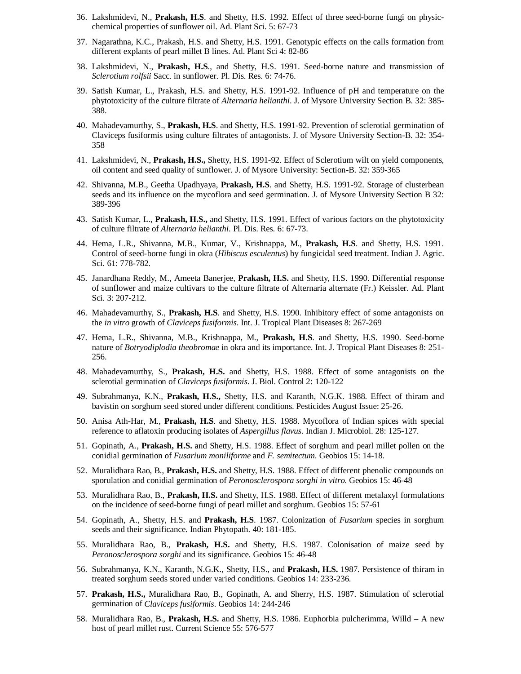- 36. Lakshmidevi, N., **Prakash, H.S**. and Shetty, H.S. 1992. Effect of three seed-borne fungi on physicchemical properties of sunflower oil. Ad. Plant Sci. 5: 67-73
- 37. Nagarathna, K.C., Prakash, H.S. and Shetty, H.S. 1991. Genotypic effects on the calls formation from different explants of pearl millet B lines. Ad. Plant Sci 4: 82-86
- 38. Lakshmidevi, N., **Prakash, H.S**., and Shetty, H.S. 1991. Seed-borne nature and transmission of *Sclerotium rolfsii* Sacc. in sunflower. Pl. Dis. Res. 6: 74-76.
- 39. Satish Kumar, L., Prakash, H.S. and Shetty, H.S. 1991-92. Influence of pH and temperature on the phytotoxicity of the culture filtrate of *Alternaria helianthi*. J. of Mysore University Section B. 32: 385- 388.
- 40. Mahadevamurthy, S., **Prakash, H.S**. and Shetty, H.S. 1991-92. Prevention of sclerotial germination of Claviceps fusiformis using culture filtrates of antagonists. J. of Mysore University Section-B. 32: 354- 358
- 41. Lakshmidevi, N., **Prakash, H.S.,** Shetty, H.S. 1991-92. Effect of Sclerotium wilt on yield components, oil content and seed quality of sunflower. J. of Mysore University: Section-B. 32: 359-365
- 42. Shivanna, M.B., Geetha Upadhyaya, **Prakash, H.S**. and Shetty, H.S. 1991-92. Storage of clusterbean seeds and its influence on the mycoflora and seed germination. J. of Mysore University Section B 32: 389-396
- 43. Satish Kumar, L., **Prakash, H.S.,** and Shetty, H.S. 1991. Effect of various factors on the phytotoxicity of culture filtrate of *Alternaria helianthi*. Pl. Dis. Res. 6: 67-73.
- 44. Hema, L.R., Shivanna, M.B., Kumar, V., Krishnappa, M., **Prakash, H.S**. and Shetty, H.S. 1991. Control of seed-borne fungi in okra (*Hibiscus esculentus*) by fungicidal seed treatment. Indian J. Agric. Sci. 61: 778-782.
- 45. Janardhana Reddy, M., Ameeta Banerjee, **Prakash, H.S.** and Shetty, H.S. 1990. Differential response of sunflower and maize cultivars to the culture filtrate of Alternaria alternate (Fr.) Keissler. Ad. Plant Sci. 3: 207-212.
- 46. Mahadevamurthy, S., **Prakash, H.S**. and Shetty, H.S. 1990. Inhibitory effect of some antagonists on the *in vitro* growth of *Claviceps fusiformis*. Int. J. Tropical Plant Diseases 8: 267-269
- 47. Hema, L.R., Shivanna, M.B., Krishnappa, M., **Prakash, H.S**. and Shetty, H.S. 1990. Seed-borne nature of *Botryodiplodia theobromae* in okra and its importance. Int. J. Tropical Plant Diseases 8: 251- 256.
- 48. Mahadevamurthy, S., **Prakash, H.S.** and Shetty, H.S. 1988. Effect of some antagonists on the sclerotial germination of *Claviceps fusiformis*. J. Biol. Control 2: 120-122
- 49. Subrahmanya, K.N., **Prakash, H.S.,** Shetty, H.S. and Karanth, N.G.K. 1988. Effect of thiram and bavistin on sorghum seed stored under different conditions. Pesticides August Issue: 25-26.
- 50. Anisa Ath-Har, M., **Prakash, H.S**. and Shetty, H.S. 1988. Mycoflora of Indian spices with special reference to aflatoxin producing isolates of *Aspergillus flavus*. Indian J. Microbiol. 28: 125-127.
- 51. Gopinath, A., **Prakash, H.S.** and Shetty, H.S. 1988. Effect of sorghum and pearl millet pollen on the conidial germination of *Fusarium moniliforme* and *F. semitectum*. Geobios 15: 14-18.
- 52. Muralidhara Rao, B., **Prakash, H.S.** and Shetty, H.S. 1988. Effect of different phenolic compounds on sporulation and conidial germination of *Peronosclerospora sorghi in vitro*. Geobios 15: 46-48
- 53. Muralidhara Rao, B., **Prakash, H.S.** and Shetty, H.S. 1988. Effect of different metalaxyl formulations on the incidence of seed-borne fungi of pearl millet and sorghum. Geobios 15: 57-61
- 54. Gopinath, A., Shetty, H.S. and **Prakash, H.S**. 1987. Colonization of *Fusarium* species in sorghum seeds and their significance. Indian Phytopath. 40: 181-185.
- 55. Muralidhara Rao, B., **Prakash, H.S.** and Shetty, H.S. 1987. Colonisation of maize seed by *Peronosclerospora sorghi* and its significance. Geobios 15: 46-48
- 56. Subrahmanya, K.N., Karanth, N.G.K., Shetty, H.S., and **Prakash, H.S.** 1987. Persistence of thiram in treated sorghum seeds stored under varied conditions. Geobios 14: 233-236.
- 57. **Prakash, H.S.,** Muralidhara Rao, B., Gopinath, A. and Sherry, H.S. 1987. Stimulation of sclerotial germination of *Claviceps fusiformis*. Geobios 14: 244-246
- 58. Muralidhara Rao, B., **Prakash, H.S.** and Shetty, H.S. 1986. Euphorbia pulcherimma, Willd A new host of pearl millet rust. Current Science 55: 576-577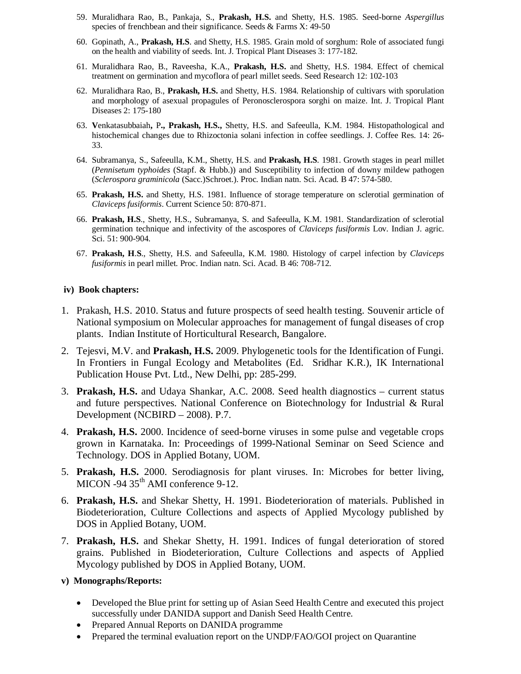- 59. Muralidhara Rao, B., Pankaja, S., **Prakash, H.S.** and Shetty, H.S. 1985. Seed-borne *Aspergillus* species of frenchbean and their significance. Seeds & Farms X: 49-50
- 60. Gopinath, A., **Prakash, H.S**. and Shetty, H.S. 1985. Grain mold of sorghum: Role of associated fungi on the health and viability of seeds. Int. J. Tropical Plant Diseases 3: 177-182.
- 61. Muralidhara Rao, B., Raveesha, K.A., **Prakash, H.S.** and Shetty, H.S. 1984. Effect of chemical treatment on germination and mycoflora of pearl millet seeds. Seed Research 12: 102-103
- 62. Muralidhara Rao, B., **Prakash, H.S.** and Shetty, H.S. 1984. Relationship of cultivars with sporulation and morphology of asexual propagules of Peronosclerospora sorghi on maize. Int. J. Tropical Plant Diseases 2: 175-180
- 63. **V**enkatasubbaiah**,** P**., Prakash, H.S.,** Shetty, H.S. and Safeeulla, K.M. 1984. Histopathological and histochemical changes due to Rhizoctonia solani infection in coffee seedlings. J. Coffee Res. 14: 26- 33.
- 64. Subramanya, S., Safeeulla, K.M., Shetty, H.S. and **Prakash, H.S**. 1981. Growth stages in pearl millet (*Pennisetum typhoides* (Stapf. & Hubb.)) and Susceptibility to infection of downy mildew pathogen (*Sclerospora graminicola* (Sacc.)Schroet.). Proc. Indian natn. Sci. Acad. B 47: 574-580.
- 65. **Prakash, H.S.** and Shetty, H.S. 1981. Influence of storage temperature on sclerotial germination of *Claviceps fusiformis*. Current Science 50: 870-871.
- 66. **Prakash, H.S**., Shetty, H.S., Subramanya, S. and Safeeulla, K.M. 1981. Standardization of sclerotial germination technique and infectivity of the ascospores of *Claviceps fusiformis* Lov. Indian J. agric. Sci. 51: 900-904.
- 67. **Prakash, H**.**S**., Shetty, H.S. and Safeeulla, K.M. 1980. Histology of carpel infection by *Claviceps fusiformis* in pearl millet. Proc. Indian natn. Sci. Acad. B 46: 708-712.

#### **iv) Book chapters:**

- 1. Prakash, H.S. 2010. Status and future prospects of seed health testing. Souvenir article of National symposium on Molecular approaches for management of fungal diseases of crop plants. Indian Institute of Horticultural Research, Bangalore.
- 2. Tejesvi, M.V. and **Prakash, H.S.** 2009. Phylogenetic tools for the Identification of Fungi. In Frontiers in Fungal Ecology and Metabolites (Ed. Sridhar K.R.), IK International Publication House Pvt. Ltd., New Delhi, pp: 285-299.
- 3. **Prakash, H.S.** and Udaya Shankar, A.C. 2008. Seed health diagnostics current status and future perspectives. National Conference on Biotechnology for Industrial & Rural Development (NCBIRD – 2008). P.7.
- 4. **Prakash, H.S.** 2000. Incidence of seed-borne viruses in some pulse and vegetable crops grown in Karnataka. In: Proceedings of 1999-National Seminar on Seed Science and Technology. DOS in Applied Botany, UOM.
- 5. **Prakash, H.S.** 2000. Serodiagnosis for plant viruses. In: Microbes for better living, MICON -94 35<sup>th</sup> AMI conference 9-12.
- 6. **Prakash, H.S.** and Shekar Shetty, H. 1991. Biodeterioration of materials. Published in Biodeterioration, Culture Collections and aspects of Applied Mycology published by DOS in Applied Botany, UOM.
- 7. **Prakash, H.S.** and Shekar Shetty, H. 1991. Indices of fungal deterioration of stored grains. Published in Biodeterioration, Culture Collections and aspects of Applied Mycology published by DOS in Applied Botany, UOM.

#### **v) Monographs/Reports:**

- Developed the Blue print for setting up of Asian Seed Health Centre and executed this project successfully under DANIDA support and Danish Seed Health Centre.
- Prepared Annual Reports on DANIDA programme
- Prepared the terminal evaluation report on the UNDP/FAO/GOI project on Quarantine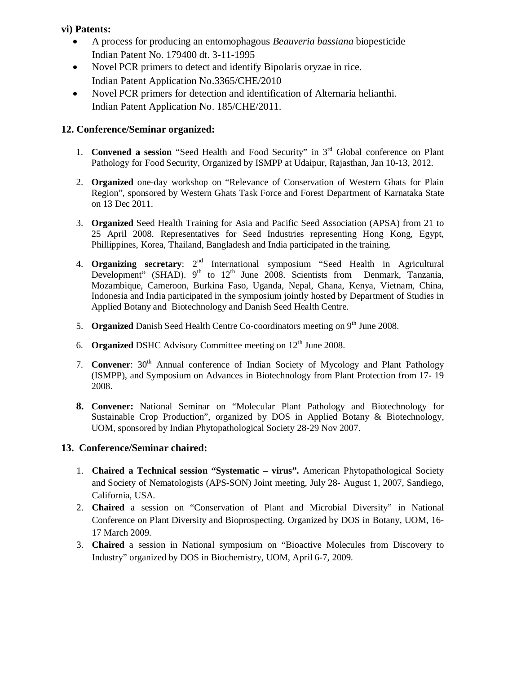## **vi) Patents:**

- A process for producing an entomophagous *Beauveria bassiana* biopesticide Indian Patent No. 179400 dt. 3-11-1995
- Novel PCR primers to detect and identify Bipolaris oryzae in rice. Indian Patent Application No.3365/CHE/2010
- Novel PCR primers for detection and identification of Alternaria helianthi. Indian Patent Application No. 185/CHE/2011.

## **12. Conference/Seminar organized:**

- 1. **Convened a session** "Seed Health and Food Security" in 3rd Global conference on Plant Pathology for Food Security, Organized by ISMPP at Udaipur, Rajasthan, Jan 10-13, 2012.
- 2. **Organized** one-day workshop on "Relevance of Conservation of Western Ghats for Plain Region", sponsored by Western Ghats Task Force and Forest Department of Karnataka State on 13 Dec 2011.
- 3. **Organized** Seed Health Training for Asia and Pacific Seed Association (APSA) from 21 to 25 April 2008. Representatives for Seed Industries representing Hong Kong, Egypt, Phillippines, Korea, Thailand, Bangladesh and India participated in the training.
- 4. **Organizing secretary**: 2<sup>nd</sup> International symposium "Seed Health in Agricultural Development" (SHAD).  $9<sup>th</sup>$  to  $12<sup>th</sup>$  June 2008. Scientists from Denmark, Tanzania, Mozambique, Cameroon, Burkina Faso, Uganda, Nepal, Ghana, Kenya, Vietnam, China, Indonesia and India participated in the symposium jointly hosted by Department of Studies in Applied Botany and Biotechnology and Danish Seed Health Centre.
- 5. **Organized** Danish Seed Health Centre Co-coordinators meeting on 9<sup>th</sup> June 2008.
- 6. **Organized** DSHC Advisory Committee meeting on 12<sup>th</sup> June 2008.
- 7. **Convener**: 30<sup>th</sup> Annual conference of Indian Society of Mycology and Plant Pathology (ISMPP), and Symposium on Advances in Biotechnology from Plant Protection from 17- 19 2008.
- **8. Convener:** National Seminar on "Molecular Plant Pathology and Biotechnology for Sustainable Crop Production", organized by DOS in Applied Botany & Biotechnology, UOM, sponsored by Indian Phytopathological Society 28-29 Nov 2007.

## **13. Conference/Seminar chaired:**

- 1. **Chaired a Technical session "Systematic virus".** American Phytopathological Society and Society of Nematologists (APS-SON) Joint meeting, July 28- August 1, 2007, Sandiego, California, USA.
- 2. **Chaired** a session on "Conservation of Plant and Microbial Diversity" in National Conference on Plant Diversity and Bioprospecting. Organized by DOS in Botany, UOM, 16- 17 March 2009.
- 3. **Chaired** a session in National symposium on "Bioactive Molecules from Discovery to Industry" organized by DOS in Biochemistry, UOM, April 6-7, 2009.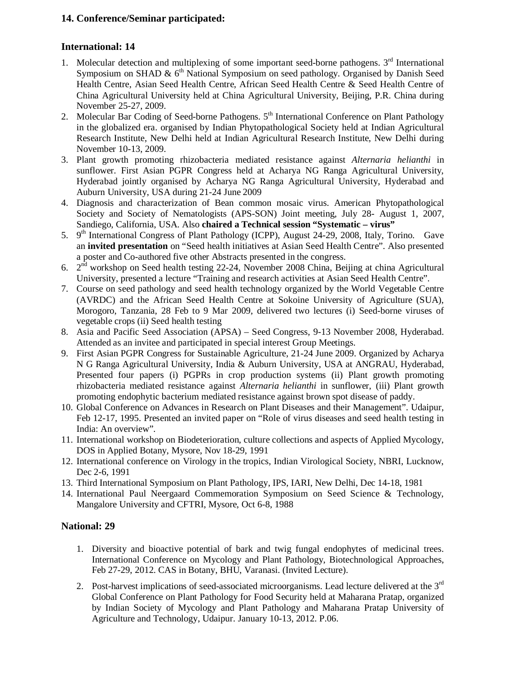## **14. Conference/Seminar participated:**

## **International: 14**

- 1. Molecular detection and multiplexing of some important seed-borne pathogens.  $3<sup>rd</sup>$  International Symposium on SHAD  $\& 6<sup>th</sup>$  National Symposium on seed pathology. Organised by Danish Seed Health Centre, Asian Seed Health Centre, African Seed Health Centre & Seed Health Centre of China Agricultural University held at China Agricultural University, Beijing, P.R. China during November 25-27, 2009.
- 2. Molecular Bar Coding of Seed-borne Pathogens. 5<sup>th</sup> International Conference on Plant Pathology in the globalized era. organised by Indian Phytopathological Society held at Indian Agricultural Research Institute, New Delhi held at Indian Agricultural Research Institute, New Delhi during November 10-13, 2009.
- 3. Plant growth promoting rhizobacteria mediated resistance against *Alternaria helianthi* in sunflower. First Asian PGPR Congress held at Acharya NG Ranga Agricultural University, Hyderabad jointly organised by Acharya NG Ranga Agricultural University, Hyderabad and Auburn University, USA during 21-24 June 2009
- 4. Diagnosis and characterization of Bean common mosaic virus. American Phytopathological Society and Society of Nematologists (APS-SON) Joint meeting, July 28- August 1, 2007, Sandiego, California, USA. Also **chaired a Technical session "Systematic – virus"**
- 5. 9<sup>th</sup> International Congress of Plant Pathology (ICPP), August 24-29, 2008, Italy, Torino. Gave an **invited presentation** on "Seed health initiatives at Asian Seed Health Centre". Also presented a poster and Co-authored five other Abstracts presented in the congress.
- 6. 2nd workshop on Seed health testing 22-24, November 2008 China, Beijing at china Agricultural University, presented a lecture "Training and research activities at Asian Seed Health Centre".
- 7. Course on seed pathology and seed health technology organized by the World Vegetable Centre (AVRDC) and the African Seed Health Centre at Sokoine University of Agriculture (SUA), Morogoro, Tanzania, 28 Feb to 9 Mar 2009, delivered two lectures (i) Seed-borne viruses of vegetable crops (ii) Seed health testing
- 8. Asia and Pacific Seed Association (APSA) Seed Congress, 9-13 November 2008, Hyderabad. Attended as an invitee and participated in special interest Group Meetings.
- 9. First Asian PGPR Congress for Sustainable Agriculture, 21-24 June 2009. Organized by Acharya N G Ranga Agricultural University, India & Auburn University, USA at ANGRAU, Hyderabad, Presented four papers (i) PGPRs in crop production systems (ii) Plant growth promoting rhizobacteria mediated resistance against *Alternaria helianthi* in sunflower, (iii) Plant growth promoting endophytic bacterium mediated resistance against brown spot disease of paddy.
- 10. Global Conference on Advances in Research on Plant Diseases and their Management". Udaipur, Feb 12-17, 1995. Presented an invited paper on "Role of virus diseases and seed health testing in India: An overview".
- 11. International workshop on Biodeterioration, culture collections and aspects of Applied Mycology, DOS in Applied Botany, Mysore, Nov 18-29, 1991
- 12. International conference on Virology in the tropics, Indian Virological Society, NBRI, Lucknow, Dec 2-6, 1991
- 13. Third International Symposium on Plant Pathology, IPS, IARI, New Delhi, Dec 14-18, 1981
- 14. International Paul Neergaard Commemoration Symposium on Seed Science & Technology, Mangalore University and CFTRI, Mysore, Oct 6-8, 1988

## **National: 29**

- 1. Diversity and bioactive potential of bark and twig fungal endophytes of medicinal trees. International Conference on Mycology and Plant Pathology, Biotechnological Approaches, Feb 27-29, 2012. CAS in Botany, BHU, Varanasi. (Invited Lecture).
- 2. Post-harvest implications of seed-associated microorganisms. Lead lecture delivered at the  $3<sup>rd</sup>$ Global Conference on Plant Pathology for Food Security held at Maharana Pratap, organized by Indian Society of Mycology and Plant Pathology and Maharana Pratap University of Agriculture and Technology, Udaipur. January 10-13, 2012. P.06.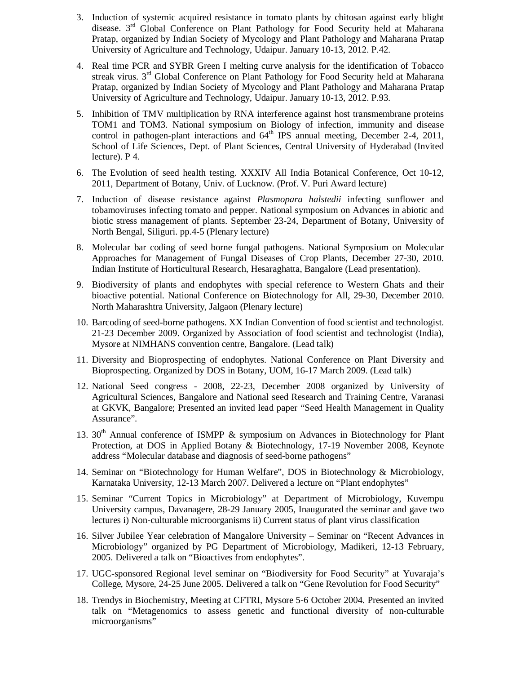- 3. Induction of systemic acquired resistance in tomato plants by chitosan against early blight disease. 3<sup>rd</sup> Global Conference on Plant Pathology for Food Security held at Maharana Pratap, organized by Indian Society of Mycology and Plant Pathology and Maharana Pratap University of Agriculture and Technology, Udaipur. January 10-13, 2012. P.42.
- 4. Real time PCR and SYBR Green I melting curve analysis for the identification of Tobacco streak virus. 3<sup>rd</sup> Global Conference on Plant Pathology for Food Security held at Maharana Pratap, organized by Indian Society of Mycology and Plant Pathology and Maharana Pratap University of Agriculture and Technology, Udaipur. January 10-13, 2012. P.93.
- 5. Inhibition of TMV multiplication by RNA interference against host transmembrane proteins TOM1 and TOM3. National symposium on Biology of infection, immunity and disease control in pathogen-plant interactions and  $64<sup>th</sup>$  IPS annual meeting, December 2-4, 2011, School of Life Sciences, Dept. of Plant Sciences, Central University of Hyderabad (Invited lecture). P 4.
- 6. The Evolution of seed health testing. XXXIV All India Botanical Conference, Oct 10-12, 2011, Department of Botany, Univ. of Lucknow. (Prof. V. Puri Award lecture)
- 7. Induction of disease resistance against *Plasmopara halstedii* infecting sunflower and tobamoviruses infecting tomato and pepper. National symposium on Advances in abiotic and biotic stress management of plants. September 23-24, Department of Botany, University of North Bengal, Siliguri. pp.4-5 (Plenary lecture)
- 8. Molecular bar coding of seed borne fungal pathogens. National Symposium on Molecular Approaches for Management of Fungal Diseases of Crop Plants, December 27-30, 2010. Indian Institute of Horticultural Research, Hesaraghatta, Bangalore (Lead presentation).
- 9. Biodiversity of plants and endophytes with special reference to Western Ghats and their bioactive potential. National Conference on Biotechnology for All, 29-30, December 2010. North Maharashtra University, Jalgaon (Plenary lecture)
- 10. Barcoding of seed-borne pathogens. XX Indian Convention of food scientist and technologist. 21-23 December 2009. Organized by Association of food scientist and technologist (India), Mysore at NIMHANS convention centre, Bangalore. (Lead talk)
- 11. Diversity and Bioprospecting of endophytes. National Conference on Plant Diversity and Bioprospecting. Organized by DOS in Botany, UOM, 16-17 March 2009. (Lead talk)
- 12. National Seed congress 2008, 22-23, December 2008 organized by University of Agricultural Sciences, Bangalore and National seed Research and Training Centre, Varanasi at GKVK, Bangalore; Presented an invited lead paper "Seed Health Management in Quality Assurance".
- 13.  $30<sup>th</sup>$  Annual conference of ISMPP & symposium on Advances in Biotechnology for Plant Protection, at DOS in Applied Botany & Biotechnology, 17-19 November 2008, Keynote address "Molecular database and diagnosis of seed-borne pathogens"
- 14. Seminar on "Biotechnology for Human Welfare", DOS in Biotechnology & Microbiology, Karnataka University, 12-13 March 2007. Delivered a lecture on "Plant endophytes"
- 15. Seminar "Current Topics in Microbiology" at Department of Microbiology, Kuvempu University campus, Davanagere, 28-29 January 2005, Inaugurated the seminar and gave two lectures i) Non-culturable microorganisms ii) Current status of plant virus classification
- 16. Silver Jubilee Year celebration of Mangalore University Seminar on "Recent Advances in Microbiology" organized by PG Department of Microbiology, Madikeri, 12-13 February, 2005. Delivered a talk on "Bioactives from endophytes".
- 17. UGC-sponsored Regional level seminar on "Biodiversity for Food Security" at Yuvaraja's College, Mysore, 24-25 June 2005. Delivered a talk on "Gene Revolution for Food Security"
- 18. Trendys in Biochemistry, Meeting at CFTRI, Mysore 5-6 October 2004. Presented an invited talk on "Metagenomics to assess genetic and functional diversity of non-culturable microorganisms"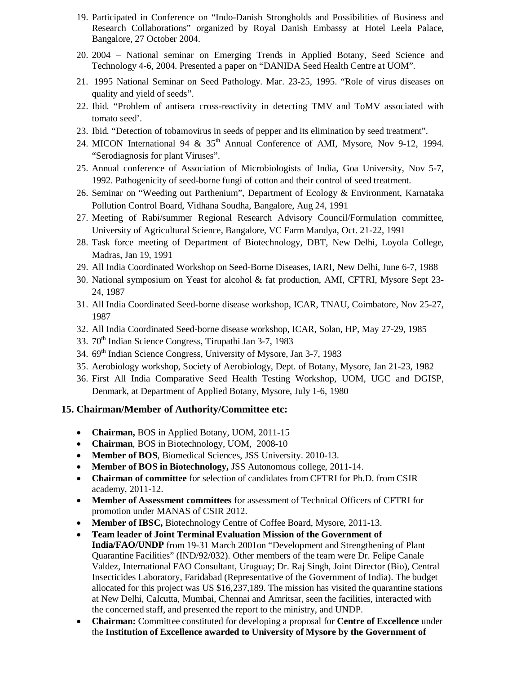- 19. Participated in Conference on "Indo-Danish Strongholds and Possibilities of Business and Research Collaborations" organized by Royal Danish Embassy at Hotel Leela Palace, Bangalore, 27 October 2004.
- 20. 2004 National seminar on Emerging Trends in Applied Botany, Seed Science and Technology 4-6, 2004. Presented a paper on "DANIDA Seed Health Centre at UOM".
- 21. 1995 National Seminar on Seed Pathology. Mar. 23-25, 1995. "Role of virus diseases on quality and yield of seeds".
- 22. Ibid. "Problem of antisera cross-reactivity in detecting TMV and ToMV associated with tomato seed'.
- 23. Ibid. "Detection of tobamovirus in seeds of pepper and its elimination by seed treatment".
- 24. MICON International 94 & 35<sup>th</sup> Annual Conference of AMI, Mysore, Nov 9-12, 1994. "Serodiagnosis for plant Viruses".
- 25. Annual conference of Association of Microbiologists of India, Goa University, Nov 5-7, 1992. Pathogenicity of seed-borne fungi of cotton and their control of seed treatment.
- 26. Seminar on "Weeding out Parthenium", Department of Ecology & Environment, Karnataka Pollution Control Board, Vidhana Soudha, Bangalore, Aug 24, 1991
- 27. Meeting of Rabi/summer Regional Research Advisory Council/Formulation committee, University of Agricultural Science, Bangalore, VC Farm Mandya, Oct. 21-22, 1991
- 28. Task force meeting of Department of Biotechnology, DBT, New Delhi, Loyola College, Madras, Jan 19, 1991
- 29. All India Coordinated Workshop on Seed-Borne Diseases, IARI, New Delhi, June 6-7, 1988
- 30. National symposium on Yeast for alcohol & fat production, AMI, CFTRI, Mysore Sept 23- 24, 1987
- 31. All India Coordinated Seed-borne disease workshop, ICAR, TNAU, Coimbatore, Nov 25-27, 1987
- 32. All India Coordinated Seed-borne disease workshop, ICAR, Solan, HP, May 27-29, 1985
- 33. 70th Indian Science Congress, Tirupathi Jan 3-7, 1983
- 34. 69<sup>th</sup> Indian Science Congress, University of Mysore, Jan 3-7, 1983
- 35. Aerobiology workshop, Society of Aerobiology, Dept. of Botany, Mysore, Jan 21-23, 1982
- 36. First All India Comparative Seed Health Testing Workshop, UOM, UGC and DGISP, Denmark, at Department of Applied Botany, Mysore, July 1-6, 1980

## **15. Chairman/Member of Authority/Committee etc:**

- **Chairman,** BOS in Applied Botany, UOM, 2011-15
- **Chairman**, BOS in Biotechnology, UOM, 2008-10
- **Member of BOS**, Biomedical Sciences, JSS University. 2010-13.
- **Member of BOS in Biotechnology,** JSS Autonomous college, 2011-14.
- **Chairman of committee** for selection of candidates from CFTRI for Ph.D. from CSIR academy, 2011-12.
- **Member of Assessment committees** for assessment of Technical Officers of CFTRI for promotion under MANAS of CSIR 2012.
- **Member of IBSC,** Biotechnology Centre of Coffee Board, Mysore, 2011-13.
- **Team leader of Joint Terminal Evaluation Mission of the Government of India/FAO/UNDP** from 19-31 March 2001on "Development and Strengthening of Plant Quarantine Facilities" (IND/92/032). Other members of the team were Dr. Felipe Canale Valdez, International FAO Consultant, Uruguay; Dr. Raj Singh, Joint Director (Bio), Central Insecticides Laboratory, Faridabad (Representative of the Government of India). The budget allocated for this project was US \$16,237,189. The mission has visited the quarantine stations at New Delhi, Calcutta, Mumbai, Chennai and Amritsar, seen the facilities, interacted with the concerned staff, and presented the report to the ministry, and UNDP.
- **Chairman:** Committee constituted for developing a proposal for **Centre of Excellence** under the **Institution of Excellence awarded to University of Mysore by the Government of**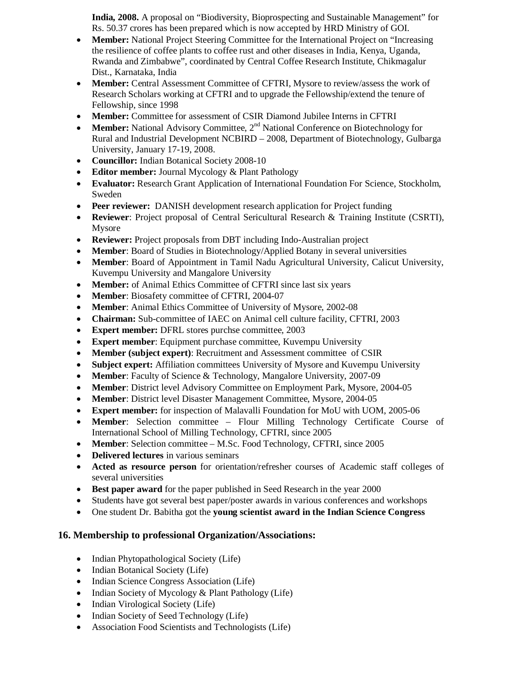**India, 2008.** A proposal on "Biodiversity, Bioprospecting and Sustainable Management" for Rs. 50.37 crores has been prepared which is now accepted by HRD Ministry of GOI.

- **Member:** National Project Steering Committee for the International Project on "Increasing the resilience of coffee plants to coffee rust and other diseases in India, Kenya, Uganda, Rwanda and Zimbabwe", coordinated by Central Coffee Research Institute, Chikmagalur Dist., Karnataka, India
- **Member:** Central Assessment Committee of CFTRI, Mysore to review/assess the work of Research Scholars working at CFTRI and to upgrade the Fellowship/extend the tenure of Fellowship, since 1998
- **Member:** Committee for assessment of CSIR Diamond Jubilee Interns in CFTRI
- **Member:** National Advisory Committee, 2<sup>nd</sup> National Conference on Biotechnology for Rural and Industrial Development NCBIRD – 2008, Department of Biotechnology, Gulbarga University, January 17-19, 2008.
- **Councillor:** Indian Botanical Society 2008-10
- **Editor member:** Journal Mycology & Plant Pathology
- **Evaluator:** Research Grant Application of International Foundation For Science, Stockholm, Sweden
- **Peer reviewer:** DANISH development research application for Project funding
- **Reviewer**: Project proposal of Central Sericultural Research & Training Institute (CSRTI), Mysore
- **Reviewer:** Project proposals from DBT including Indo-Australian project
- **Member**: Board of Studies in Biotechnology/Applied Botany in several universities
- **Member**: Board of Appointment in Tamil Nadu Agricultural University, Calicut University, Kuvempu University and Mangalore University
- **Member:** of Animal Ethics Committee of CFTRI since last six years
- **Member**: Biosafety committee of CFTRI, 2004-07
- **Member**: Animal Ethics Committee of University of Mysore, 2002-08
- **Chairman:** Sub-committee of IAEC on Animal cell culture facility, CFTRI, 2003
- **Expert member:** DFRL stores purchse committee, 2003
- **Expert member**: Equipment purchase committee, Kuvempu University
- **Member (subject expert)**: Recruitment and Assessment committee of CSIR
- **Subject expert:** Affiliation committees University of Mysore and Kuvempu University
- **Member**: Faculty of Science & Technology, Mangalore University, 2007-09
- **Member**: District level Advisory Committee on Employment Park, Mysore, 2004-05
- **Member**: District level Disaster Management Committee, Mysore, 2004-05
- **Expert member:** for inspection of Malavalli Foundation for MoU with UOM, 2005-06
- **Member**: Selection committee Flour Milling Technology Certificate Course of International School of Milling Technology, CFTRI, since 2005
- **Member**: Selection committee M.Sc. Food Technology, CFTRI, since 2005
- **Delivered lectures** in various seminars
- **Acted as resource person** for orientation/refresher courses of Academic staff colleges of several universities
- **Best paper award** for the paper published in Seed Research in the year 2000
- Students have got several best paper/poster awards in various conferences and workshops
- One student Dr. Babitha got the **young scientist award in the Indian Science Congress**

## **16. Membership to professional Organization/Associations:**

- Indian Phytopathological Society (Life)
- Indian Botanical Society (Life)
- Indian Science Congress Association (Life)
- Indian Society of Mycology & Plant Pathology (Life)
- Indian Virological Society (Life)
- Indian Society of Seed Technology (Life)
- Association Food Scientists and Technologists (Life)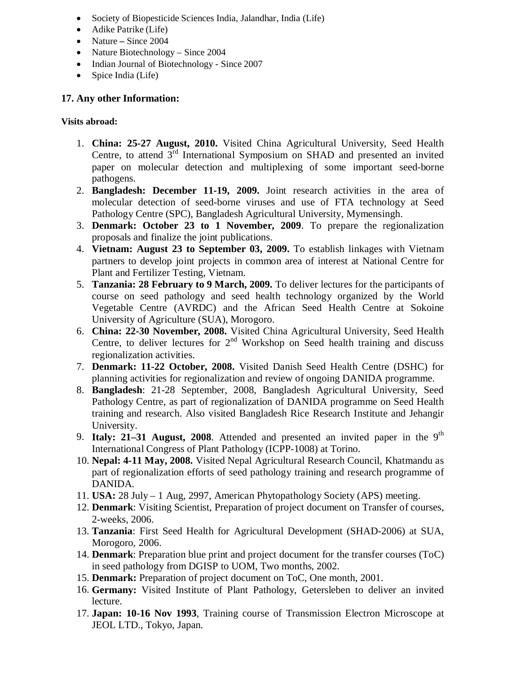- Society of Biopesticide Sciences India, Jalandhar, India (Life)
- Adike Patrike (Life)
- Nature Since 2004
- Nature Biotechnology Since 2004
- Indian Journal of Biotechnology Since 2007
- Spice India (Life)

## **17. Any other Information:**

## **Visits abroad:**

- 1. **China: 25-27 August, 2010.** Visited China Agricultural University, Seed Health Centre, to attend  $3<sup>rd</sup>$  International Symposium on SHAD and presented an invited paper on molecular detection and multiplexing of some important seed-borne pathogens.
- 2. **Bangladesh: December 11-19, 2009.** Joint research activities in the area of molecular detection of seed-borne viruses and use of FTA technology at Seed Pathology Centre (SPC), Bangladesh Agricultural University, Mymensingh.
- 3. **Denmark: October 23 to 1 November, 2009**. To prepare the regionalization proposals and finalize the joint publications.
- 4. **Vietnam: August 23 to September 03, 2009.** To establish linkages with Vietnam partners to develop joint projects in common area of interest at National Centre for Plant and Fertilizer Testing, Vietnam.
- 5. **Tanzania: 28 February to 9 March, 2009.** To deliver lectures for the participants of course on seed pathology and seed health technology organized by the World Vegetable Centre (AVRDC) and the African Seed Health Centre at Sokoine University of Agriculture (SUA), Morogoro.
- 6. **China: 22-30 November, 2008.** Visited China Agricultural University, Seed Health Centre, to deliver lectures for  $2<sup>nd</sup>$  Workshop on Seed health training and discuss regionalization activities.
- 7. **Denmark: 11-22 October, 2008.** Visited Danish Seed Health Centre (DSHC) for planning activities for regionalization and review of ongoing DANIDA programme.
- 8. **Bangladesh**: 21-28 September, 2008, Bangladesh Agricultural University, Seed Pathology Centre, as part of regionalization of DANIDA programme on Seed Health training and research. Also visited Bangladesh Rice Research Institute and Jehangir University.
- 9. **Italy: 21–31 August, 2008**. Attended and presented an invited paper in the  $9<sup>th</sup>$ International Congress of Plant Pathology (ICPP-1008) at Torino.
- 10. **Nepal: 4-11 May, 2008.** Visited Nepal Agricultural Research Council, Khatmandu as part of regionalization efforts of seed pathology training and research programme of DANIDA.
- 11. **USA:** 28 July 1 Aug, 2997, American Phytopathology Society (APS) meeting.
- 12. **Denmark**: Visiting Scientist, Preparation of project document on Transfer of courses, 2-weeks, 2006.
- 13. **Tanzania**: First Seed Health for Agricultural Development (SHAD-2006) at SUA, Morogoro, 2006.
- 14. **Denmark**: Preparation blue print and project document for the transfer courses (ToC) in seed pathology from DGISP to UOM, Two months, 2002.
- 15. **Denmark:** Preparation of project document on ToC, One month, 2001.
- 16. **Germany:** Visited Institute of Plant Pathology, Getersleben to deliver an invited lecture.
- 17. **Japan: 10-16 Nov 1993**, Training course of Transmission Electron Microscope at JEOL LTD., Tokyo, Japan.